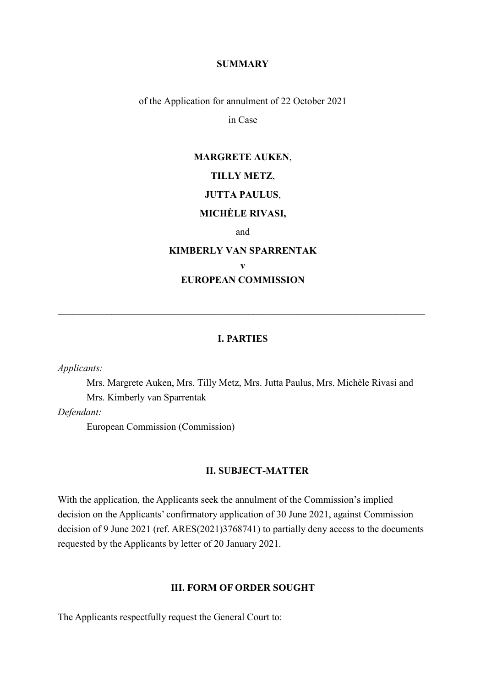#### **SUMMARY**

of the Application for annulment of 22 October 2021

in Case

# **MARGRETE AUKEN**, **TILLY METZ**, **JUTTA PAULUS**,

## **MICHÈLE RIVASI,**

and

# **KIMBERLY VAN SPARRENTAK v EUROPEAN COMMISSION**

#### **I. PARTIES**

\_\_\_\_\_\_\_\_\_\_\_\_\_\_\_\_\_\_\_\_\_\_\_\_\_\_\_\_\_\_\_\_\_\_\_\_\_\_\_\_\_\_\_\_\_\_\_\_\_\_\_\_\_\_\_\_\_\_\_\_\_\_\_\_\_\_\_\_\_\_\_\_\_\_\_

*Applicants:* 

Mrs. Margrete Auken, Mrs. Tilly Metz, Mrs. Jutta Paulus, Mrs. Michèle Rivasi and Mrs. Kimberly van Sparrentak

*Defendant:*

European Commission (Commission)

#### **II. SUBJECT-MATTER**

With the application, the Applicants seek the annulment of the Commission's implied decision on the Applicants' confirmatory application of 30 June 2021, against Commission decision of 9 June 2021 (ref. ARES(2021)3768741) to partially deny access to the documents requested by the Applicants by letter of 20 January 2021.

#### **III. FORM OF ORDER SOUGHT**

The Applicants respectfully request the General Court to: